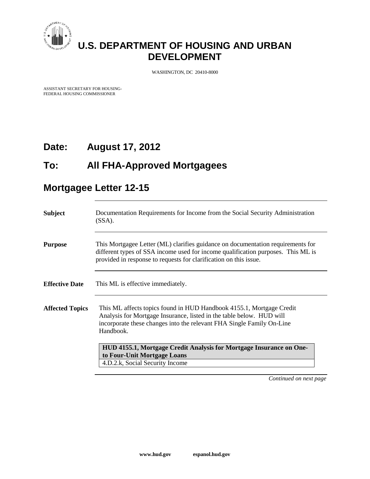

# **U.S. DEPARTMENT OF HOUSING AND URBAN DEVELOPMENT**

WASHINGTON, DC 20410-8000

ASSISTANT SECRETARY FOR HOUSING-FEDERAL HOUSING COMMISSIONER

## **Date: August 17, 2012**

### **To: All FHA-Approved Mortgagees**

## **Mortgagee Letter 12-15**

| <b>Subject</b>         | Documentation Requirements for Income from the Social Security Administration<br>$(SSA)$ .                                                                                                                                               |
|------------------------|------------------------------------------------------------------------------------------------------------------------------------------------------------------------------------------------------------------------------------------|
| <b>Purpose</b>         | This Mortgagee Letter (ML) clarifies guidance on documentation requirements for<br>different types of SSA income used for income qualification purposes. This ML is<br>provided in response to requests for clarification on this issue. |
| <b>Effective Date</b>  | This ML is effective immediately.                                                                                                                                                                                                        |
| <b>Affected Topics</b> | This ML affects topics found in HUD Handbook 4155.1, Mortgage Credit<br>Analysis for Mortgage Insurance, listed in the table below. HUD will<br>incorporate these changes into the relevant FHA Single Family On-Line<br>Handbook.       |
|                        | HUD 4155.1, Mortgage Credit Analysis for Mortgage Insurance on One-<br>to Four-Unit Mortgage Loans<br>4.D.2.k, Social Security Income                                                                                                    |

*Continued on next page*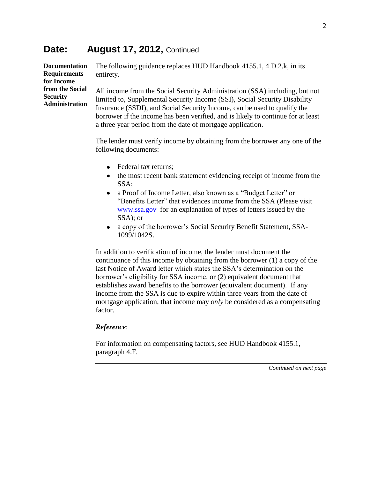#### Date: August 17, 2012, Continued

**Documentation Requirements for Income from the Social Security Administration** The following guidance replaces HUD Handbook 4155.1, 4.D.2.k, in its entirety. All income from the Social Security Administration (SSA) including, but not limited to, Supplemental Security Income (SSI), Social Security Disability Insurance (SSDI), and Social Security Income, can be used to qualify the borrower if the income has been verified, and is likely to continue for at least

a three year period from the date of mortgage application.

The lender must verify income by obtaining from the borrower any one of the following documents:

- Federal tax returns;
- the most recent bank statement evidencing receipt of income from the  $\bullet$ SSA;
- $\bullet$ a Proof of Income Letter, also known as a "Budget Letter" or "Benefits Letter" that evidences income from the SSA (Please visit [www.ssa.gov](http://www.ssa.gov/) for an explanation of types of letters issued by the SSA); or
- a copy of the borrower's Social Security Benefit Statement, SSA-1099/1042S.

In addition to verification of income, the lender must document the continuance of this income by obtaining from the borrower (1) a copy of the last Notice of Award letter which states the SSA's determination on the borrower's eligibility for SSA income, or (2) equivalent document that establishes award benefits to the borrower (equivalent document). If any income from the SSA is due to expire within three years from the date of mortgage application, that income may *only* be considered as a compensating factor.

#### *Reference*:

For information on compensating factors, see HUD Handbook 4155.1, paragraph 4.F.

*Continued on next page*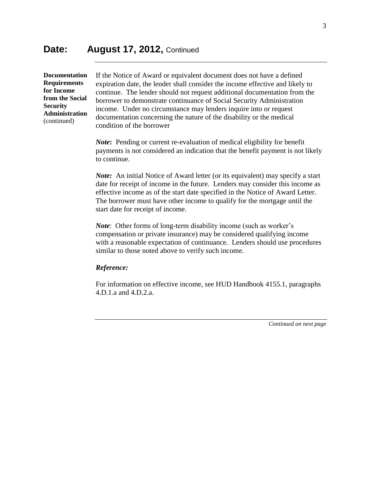**Documentation Requirements for Income from the Social Security Administration** (continued)

If the Notice of Award or equivalent document does not have a defined expiration date, the lender shall consider the income effective and likely to continue. The lender should not request additional documentation from the borrower to demonstrate continuance of Social Security Administration income. Under no circumstance may lenders inquire into or request documentation concerning the nature of the disability or the medical condition of the borrower

*Note***:** Pending or current re-evaluation of medical eligibility for benefit payments is not considered an indication that the benefit payment is not likely to continue.

*Note:* An initial Notice of Award letter (or its equivalent) may specify a start date for receipt of income in the future. Lenders may consider this income as effective income as of the start date specified in the Notice of Award Letter. The borrower must have other income to qualify for the mortgage until the start date for receipt of income.

*Note*: Other forms of long-term disability income (such as worker's compensation or private insurance) may be considered qualifying income with a reasonable expectation of continuance. Lenders should use procedures similar to those noted above to verify such income.

#### *Reference:*

For information on effective income, see HUD Handbook 4155.1, paragraphs 4.D.1.a and 4.D.2.a.

*Continued on next page*